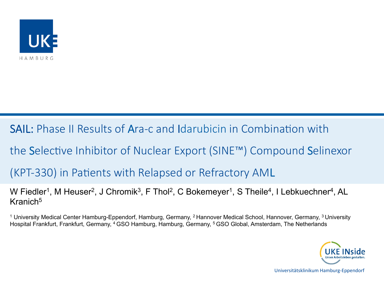

SAIL: Phase II Results of Ara-c and Idarubicin in Combination with

the Selective Inhibitor of Nuclear Export (SINE™) Compound Selinexor

### (KPT-330) in Patients with Relapsed or Refractory AML

W Fiedler<sup>1</sup>, M Heuser<sup>2</sup>, J Chromik<sup>3</sup>, F Thol<sup>2</sup>, C Bokemeyer<sup>1</sup>, S Theile<sup>4</sup>, I Lebkuechner<sup>4</sup>, AL Kranich5

1 University Medical Center Hamburg-Eppendorf, Hamburg, Germany, 2 Hannover Medical School, Hannover, Germany, 3 University Hospital Frankfurt, Frankfurt, Germany, 4 GSO Hamburg, Hamburg, Germany, 5 GSO Global, Amsterdam, The Netherlands



Universitätsklinikum Hamburg-Eppendorf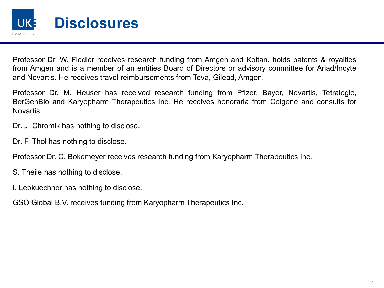

Professor Dr. W. Fiedler receives research funding from Amgen and Koltan, holds patents & royalties from Amgen and is a member of an entities Board of Directors or advisory committee for Ariad/Incyte and Novartis. He receives travel reimbursements from Teva, Gilead, Amgen.

Professor Dr. M. Heuser has received research funding from Pfizer, Bayer, Novartis, Tetralogic, BerGenBio and Karyopharm Therapeutics Inc. He receives honoraria from Celgene and consults for Novartis.

Dr. J. Chromik has nothing to disclose.

Dr. F. Thol has nothing to disclose.

Professor Dr. C. Bokemeyer receives research funding from Karyopharm Therapeutics Inc.

- S. Theile has nothing to disclose.
- I. Lebkuechner has nothing to disclose.

GSO Global B.V. receives funding from Karyopharm Therapeutics Inc.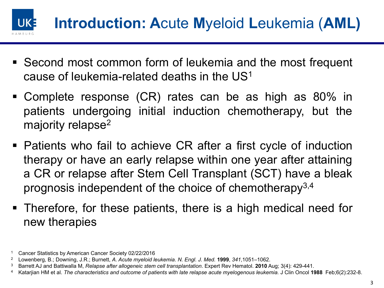

- Second most common form of leukemia and the most frequent cause of leukemia-related deaths in the US1
- § Complete response (CR) rates can be as high as 80% in patients undergoing initial induction chemotherapy, but the majority relapse<sup>2</sup>
- Patients who fail to achieve CR after a first cycle of induction therapy or have an early relapse within one year after attaining a CR or relapse after Stem Cell Transplant (SCT) have a bleak prognosis independent of the choice of chemotherapy<sup>3,4</sup>
- § Therefore, for these patients, there is a high medical need for new therapies

<sup>1</sup> Cancer Statistics by American Cancer Society 02/22/2016

<sup>2</sup> Lowenberg, B.; Downing, J.R.; Burnett, *A. Acute myeloid leukemia*. *N. Engl. J. Med.* **1999**, *341*,1051–1062.

<sup>3</sup> Barrett AJ and Battiwalla M, *Relapse after allogeneic stem cell transplantation*. Expert Rev Hematol. **2010** Aug; 3(4): 429-441.

<sup>4</sup> Katarjian HM et al. *The characteristics and outcome of patients with late relapse acute myelogenous leukemia.* J Clin Oncol **1988** Feb;6(2):232-8.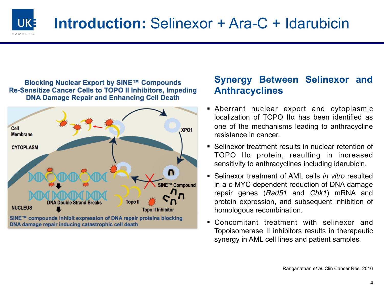

# **Introduction:** Selinexor + Ara-C + Idarubicin

#### Blocking Nuclear Export by SINE™ Compounds **Re-Sensitize Cancer Cells to TOPO II Inhibitors, Impeding DNA Damage Repair and Enhancing Cell Death**



### **Synergy Between Selinexor and Anthracyclines**

- § Aberrant nuclear export and cytoplasmic localization of TOPO IIα has been identified as one of the mechanisms leading to anthracycline resistance in cancer.
- Selinexor treatment results in nuclear retention of TOPO IIα protein, resulting in increased sensitivity to anthracyclines including idarubicin.
- § Selinexor treatment of AML cells *in vitro* resulted in a c-MYC dependent reduction of DNA damage repair genes (*Rad51* and *Chk1*) mRNA and protein expression, and subsequent inhibition of homologous recombination.
- § Concomitant treatment with selinexor and Topoisomerase II inhibitors results in therapeutic synergy in AML cell lines and patient samples.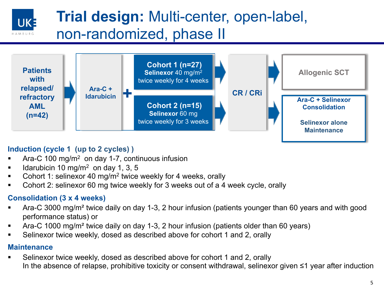### **Trial design:** Multi-center, open-label, non-randomized, phase II



#### **Induction (cycle 1 (up to 2 cycles) )**

- Ara-C 100 mg/m<sup>2</sup> on day 1-7, continuous infusion
- Idarubicin 10 mg/m<sup>2</sup> on day 1, 3, 5
- § Cohort 1: selinexor 40 mg/m2 twice weekly for 4 weeks, orally
- § Cohort 2: selinexor 60 mg twice weekly for 3 weeks out of a 4 week cycle, orally

#### **Consolidation (3 x 4 weeks)**

- § Ara-C 3000 mg/m² twice daily on day 1-3, 2 hour infusion (patients younger than 60 years and with good performance status) or
- § Ara-C 1000 mg/m² twice daily on day 1-3, 2 hour infusion (patients older than 60 years)
- § Selinexor twice weekly, dosed as described above for cohort 1 and 2, orally

#### **Maintenance**

UK:

§ Selinexor twice weekly, dosed as described above for cohort 1 and 2, orally In the absence of relapse, prohibitive toxicity or consent withdrawal, selinexor given ≤1 year after induction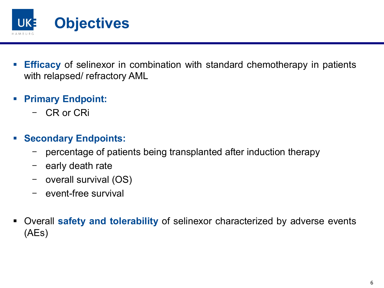

- **Efficacy** of selinexor in combination with standard chemotherapy in patients with relapsed/ refractory AML
- § **Primary Endpoint:**
	- CR or CRi
- § **Secondary Endpoints:** 
	- percentage of patients being transplanted after induction therapy
	- early death rate
	- overall survival (OS)
	- event-free survival
- § Overall **safety and tolerability** of selinexor characterized by adverse events (AEs)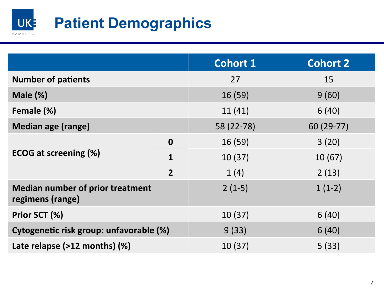

|                                                             |                | <b>Cohort 1</b> | <b>Cohort 2</b> |
|-------------------------------------------------------------|----------------|-----------------|-----------------|
| <b>Number of patients</b>                                   |                | 27              | 15              |
| Male $(\%)$                                                 |                | 16(59)          | 9(60)           |
| Female (%)                                                  |                | 11(41)          | 6(40)           |
| Median age (range)                                          |                | 58 (22-78)      | 60 (29-77)      |
| <b>ECOG at screening (%)</b>                                | $\mathbf 0$    | 16(59)          | 3(20)           |
|                                                             | $\mathbf{1}$   | 10(37)          | 10(67)          |
|                                                             | $\overline{2}$ | 1(4)            | 2(13)           |
| <b>Median number of prior treatment</b><br>regimens (range) |                | $2(1-5)$        | $1(1-2)$        |
| Prior SCT (%)                                               |                | 10(37)          | 6(40)           |
| Cytogenetic risk group: unfavorable (%)                     |                | 9(33)           | 6(40)           |
| Late relapse (>12 months) (%)                               |                | 10(37)          | 5(33)           |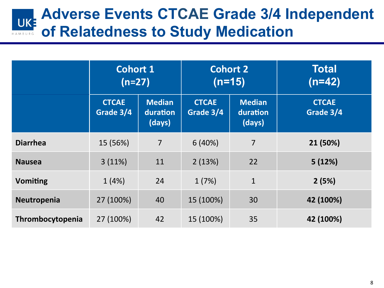## **Adverse Events CTCAE Grade 3/4 Independent of Relatedness to Study Medication**

|                  | <b>Cohort 1</b><br>$(n=27)$ |                                     | <b>Cohort 2</b><br>$(n=15)$ |                                     | <b>Total</b><br>$(n=42)$  |
|------------------|-----------------------------|-------------------------------------|-----------------------------|-------------------------------------|---------------------------|
|                  | <b>CTCAE</b><br>Grade 3/4   | <b>Median</b><br>duration<br>(days) | <b>CTCAE</b><br>Grade 3/4   | <b>Median</b><br>duration<br>(days) | <b>CTCAE</b><br>Grade 3/4 |
| <b>Diarrhea</b>  | 15 (56%)                    | $\overline{7}$                      | 6(40%)                      | $\overline{7}$                      | 21 (50%)                  |
| <b>Nausea</b>    | 3(11%)                      | 11                                  | 2(13%)                      | 22                                  | 5(12%)                    |
| <b>Vomiting</b>  | 1(4%)                       | 24                                  | 1(7%)                       | $\mathbf{1}$                        | 2(5%)                     |
| Neutropenia      | 27 (100%)                   | 40                                  | 15 (100%)                   | 30                                  | 42 (100%)                 |
| Thrombocytopenia | 27 (100%)                   | 42                                  | 15 (100%)                   | 35                                  | 42 (100%)                 |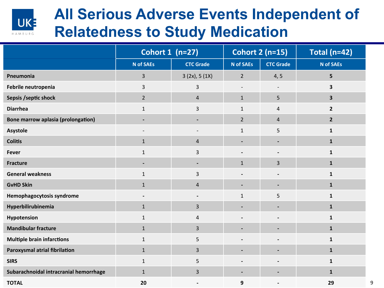

## **All Serious Adverse Events Independent of Relatedness to Study Medication**

|                                           | Cohort 1 (n=27)          |                          | <b>Cohort 2 (n=15)</b> |                          | <b>Total (n=42)</b>     |
|-------------------------------------------|--------------------------|--------------------------|------------------------|--------------------------|-------------------------|
|                                           | <b>N</b> of SAEs         | <b>CTC Grade</b>         | <b>N</b> of SAEs       | <b>CTC Grade</b>         | <b>N</b> of SAEs        |
| Pneumonia                                 | 3                        | 3(2x), 5(1X)             | $\overline{2}$         | 4, 5                     | 5                       |
| Febrile neutropenia                       | 3                        | 3                        |                        |                          | 3                       |
| Sepsis /septic shock                      | $\overline{2}$           | $\overline{4}$           | $\mathbf{1}$           | 5                        | $\overline{\mathbf{3}}$ |
| <b>Diarrhea</b>                           | $\mathbf{1}$             | 3                        | $\mathbf{1}$           | 4                        | $\overline{2}$          |
| <b>Bone marrow aplasia (prolongation)</b> |                          |                          | $\overline{2}$         | 4                        | $\overline{2}$          |
| Asystole                                  |                          |                          | $\mathbf{1}$           | 5                        | $\mathbf{1}$            |
| <b>Colitis</b>                            | $\mathbf{1}$             | $\overline{4}$           |                        |                          | $\mathbf{1}$            |
| <b>Fever</b>                              | $\mathbf{1}$             | 3                        |                        |                          | $\mathbf{1}$            |
| <b>Fracture</b>                           | $\overline{\phantom{a}}$ |                          | $\mathbf{1}$           | 3                        | ${\bf 1}$               |
| <b>General weakness</b>                   | $\mathbf{1}$             | 3                        |                        |                          | $\mathbf{1}$            |
| <b>GvHD Skin</b>                          | $\mathbf{1}$             | $\overline{4}$           | -                      | $\blacksquare$           | $\mathbf{1}$            |
| Hemophagocytosis syndrome                 |                          |                          | $\mathbf{1}$           | 5                        | $\mathbf{1}$            |
| Hyperbilirubinemia                        | $\mathbf{1}$             | 3                        | -                      | $\overline{\phantom{a}}$ | ${\bf 1}$               |
| Hypotension                               | $\mathbf{1}$             | 4                        |                        |                          | $\mathbf{1}$            |
| <b>Mandibular fracture</b>                | $\mathbf{1}$             | 3                        |                        |                          | $\mathbf{1}$            |
| <b>Multiple brain infarctions</b>         | $\mathbf{1}$             | 5                        |                        |                          | $\mathbf{1}$            |
| Paroxysmal atrial fibrilation             | $\mathbf 1$              | 3                        |                        | $\overline{\phantom{a}}$ | $\mathbf 1$             |
| <b>SIRS</b>                               | $\mathbf{1}$             | 5                        |                        |                          | $\mathbf{1}$            |
| Subarachnoidal intracranial hemorrhage    | $\mathbf{1}$             | 3                        | -                      |                          | $\mathbf{1}$            |
| <b>TOTAL</b>                              | 20                       | $\overline{\phantom{a}}$ | 9                      |                          | 29                      |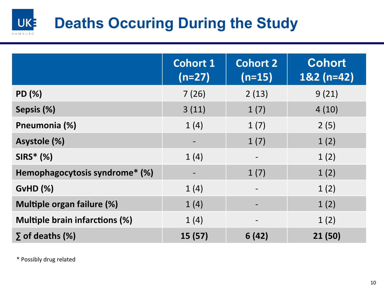#### UK<sup>3</sup> **Deaths Occuring During the Study**  HAMBURO

|                                       | <b>Cohort 1</b><br>$(n=27)$ | <b>Cohort 2</b><br>$(n=15)$ | <b>Cohort</b><br>$182(n=42)$ |
|---------------------------------------|-----------------------------|-----------------------------|------------------------------|
| PD (%)                                | 7(26)                       | 2(13)                       | 9(21)                        |
| Sepsis (%)                            | 3(11)                       | 1(7)                        | 4(10)                        |
| Pneumonia (%)                         | 1(4)                        | 1(7)                        | 2(5)                         |
| Asystole (%)                          |                             | 1(7)                        | 1(2)                         |
| $SIRS^*(% )$                          | 1(4)                        |                             | 1(2)                         |
| Hemophagocytosis syndrome* (%)        |                             | 1(7)                        | 1(2)                         |
| $GvHD$ $(\%)$                         | 1(4)                        |                             | 1(2)                         |
| <b>Multiple organ failure (%)</b>     | 1(4)                        |                             | 1(2)                         |
| <b>Multiple brain infarctions (%)</b> | 1(4)                        | $\overline{\phantom{a}}$    | 1(2)                         |
| $\Sigma$ of deaths (%)                | 15(57)                      | 6(42)                       | 21(50)                       |

\* Possibly drug related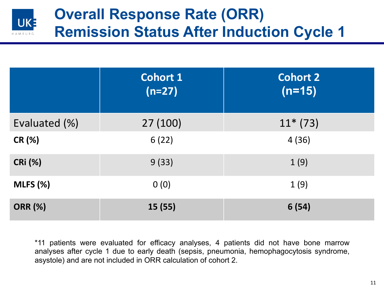

|                | <b>Cohort 1</b><br>$(n=27)$ | <b>Cohort 2</b><br>$(n=15)$ |
|----------------|-----------------------------|-----------------------------|
| Evaluated (%)  | 27 (100)                    | $11*(73)$                   |
| <b>CR (%)</b>  | 6(22)                       | 4(36)                       |
| <b>CRi (%)</b> | 9(33)                       | 1(9)                        |
| MLES (%)       | 0(0)                        | 1(9)                        |
| <b>ORR (%)</b> | 15(55)                      | 6(54)                       |

\*11 patients were evaluated for efficacy analyses, 4 patients did not have bone marrow analyses after cycle 1 due to early death (sepsis, pneumonia, hemophagocytosis syndrome, asystole) and are not included in ORR calculation of cohort 2.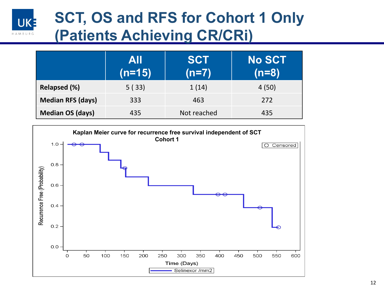

# **SCT, OS and RFS for Cohort 1 Only (Patients Achieving CR/CRi)**

|                          | <b>AII</b><br>$(n=15)$ | <b>SCT</b><br>$(n=7)$ | <b>No SCT</b><br>$(n=8)$ |
|--------------------------|------------------------|-----------------------|--------------------------|
| Relapsed (%)             | 5(33)                  | 1(14)                 | 4(50)                    |
| <b>Median RFS (days)</b> | 333                    | 463                   | 272                      |
| <b>Median OS (days)</b>  | 435                    | Not reached           | 435                      |

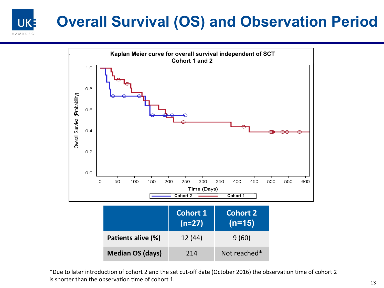### **Overall Survival (OS) and Observation Period** UK-



\*Due to later introduction of cohort 2 and the set cut-off date (October 2016) the observation time of cohort 2 is shorter than the observation time of cohort 1.  $13$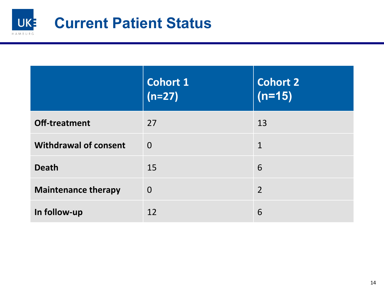

|                              | Cohort 1<br>$(n=27)$ | <b>Cohort 2</b><br>$(n=15)$ |
|------------------------------|----------------------|-----------------------------|
| Off-treatment                | 27                   | 13                          |
| <b>Withdrawal of consent</b> | $\overline{0}$       | $\mathbf 1$                 |
| <b>Death</b>                 | 15                   | 6                           |
| <b>Maintenance therapy</b>   | $\overline{0}$       | $\overline{2}$              |
| In follow-up                 | 12                   | 6                           |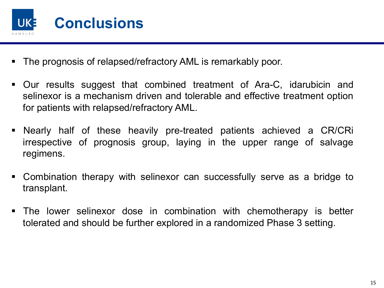

- § The prognosis of relapsed/refractory AML is remarkably poor.
- § Our results suggest that combined treatment of Ara-C, idarubicin and selinexor is a mechanism driven and tolerable and effective treatment option for patients with relapsed/refractory AML.
- § Nearly half of these heavily pre-treated patients achieved a CR/CRi irrespective of prognosis group, laying in the upper range of salvage regimens.
- § Combination therapy with selinexor can successfully serve as a bridge to transplant.
- § The lower selinexor dose in combination with chemotherapy is better tolerated and should be further explored in a randomized Phase 3 setting.